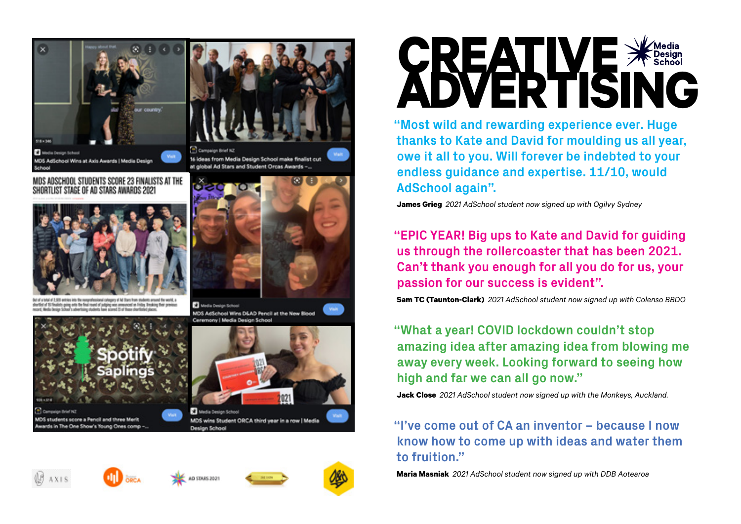





of 1.926 extract into the responsivesianal category of M Stars from students around the world. a lots going onto the final round of judging was announced on Friday. Breaking their previous rakat School's advertising chatlerts have scored 25 of those phortliched place



dents score a Pencil and three Merit ds in The One Show's Young Ones comp -





**C** Media Design School MDS AdSchool Wins D&AD Pencil at the New Blood Ceremony | Media Design School



MDS wins Student ORCA third year in a row | Media







Design School



**CREATIVE ADVERTISING**

**"Most wild and rewarding experience ever. Huge thanks to Kate and David for moulding us all year, owe it all to you. Will forever be indebted to your endless guidance and expertise. 11/10, would AdSchool again".**

**James Grieg** *2021 AdSchool student now signed up with Ogilvy Sydney*

**"EPIC YEAR! Big ups to Kate and David for guiding us through the rollercoaster that has been 2021. Can't thank you enough for all you do for us, your passion for our success is evident".**

**Sam TC (Taunton-Clark)** *2021 AdSchool student now signed up with Colenso BBDO*

**"What a year! COVID lockdown couldn't stop amazing idea after amazing idea from blowing me away every week. Looking forward to seeing how high and far we can all go now."**

**Jack Close** *2021 AdSchool student now signed up with the Monkeys, Auckland.*

## **"I've come out of CA an inventor – because I now know how to come up with ideas and water them to fruition."**

**Maria Masniak** *2021 AdSchool student now signed up with DDB Aotearoa*